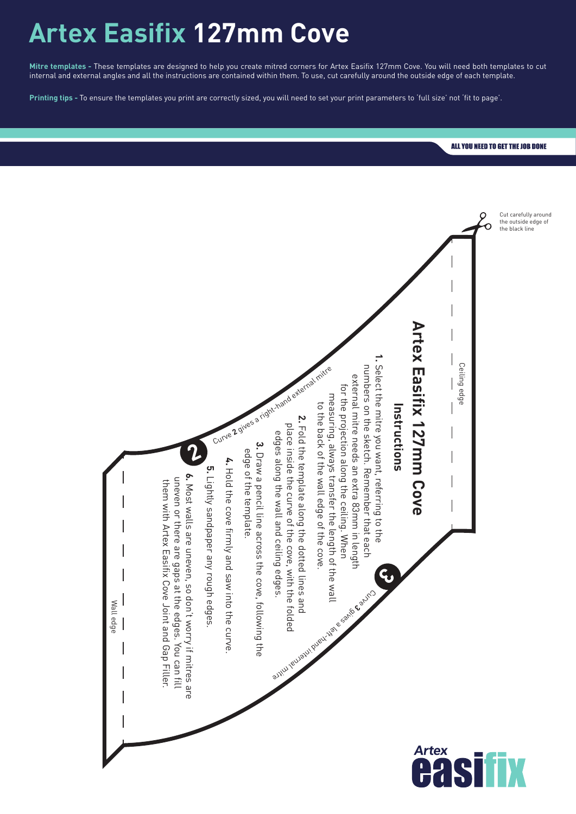## **Artex Easifix 127mm Cove**

**Mitre templates -** These templates are designed to help you create mitred corners for Artex Easifix 127mm Cove. You will need both templates to cut internal and external angles and all the instructions are contained within them. To use, cut carefully around the outside edge of each template.

**Printing tips -** To ensure the templates you print are correctly sized, you will need to set your print parameters to 'full size' not 'fit to page'.